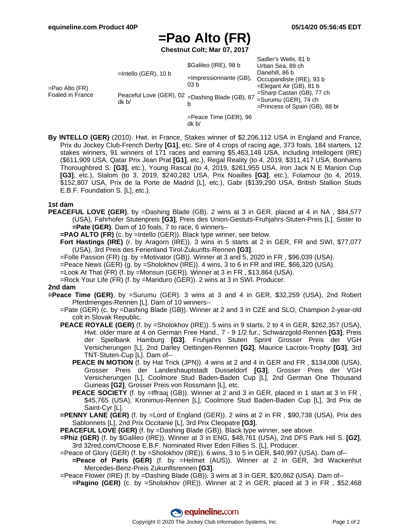# **=Pao Alto (FR)**

**Chestnut Colt; Mar 07, 2017**

| $=$ Pao Alto (FR)<br><b>Foaled in France</b> | $=$ Intello (GER), 10 b<br>Peaceful Love (GER), 02 = Dashing Blade (GB), 87<br>dk b/ | \$Galileo (IRE), 98 b<br>$=$ Impressionnante (GB),<br>03 b<br>b | Sadler's Wells, 81 b<br>Urban Sea, 89 ch<br>Danehill, 86 b<br>Occupandiste (IRE), 93 b<br>$=$ Elegant Air (GB), 81 b<br>=Sharp Castan (GB), 77 ch<br>$=$ Surumu (GER), 74 ch<br>=Princess of Spain (GB), 88 br |
|----------------------------------------------|--------------------------------------------------------------------------------------|-----------------------------------------------------------------|----------------------------------------------------------------------------------------------------------------------------------------------------------------------------------------------------------------|
|                                              |                                                                                      | $=$ Peace Time (GER), 96<br>dk <sub>b</sub>                     |                                                                                                                                                                                                                |

**By INTELLO (GER)** (2010). Hwt. in France, Stakes winner of \$2,206,112 USA in England and France, Prix du Jockey Club-French Derby **[G1]**, etc. Sire of 4 crops of racing age, 373 foals, 184 starters, 12 stakes winners, 91 winners of 171 races and earning \$5,463,148 USA, including Intellogent (IRE) (\$611,909 USA, Qatar Prix Jean Prat **[G1]**, etc.), Regal Reality (to 4, 2019, \$311,417 USA, Bonhams Thoroughbred S. **[G3]**, etc.), Young Rascal (to 4, 2019, \$261,955 USA, Iron Jack N E Manion Cup **[G3]**, etc.), Slalom (to 3, 2019, \$240,282 USA, Prix Noailles **[G3]**, etc.), Folamour (to 4, 2019, \$152,807 USA, Prix de la Porte de Madrid [L], etc.), Gabr (\$139,290 USA, British Stallion Studs E.B.F. Foundation S. [L], etc.).

### **1st dam**

- **PEACEFUL LOVE (GER)**, by =Dashing Blade (GB). 2 wins at 3 in GER, placed at 4 in NA, \$84,577 (USA), Fahrhofer Stutenpreis **[G3]**, Preis des Union-Gestuts-Fruhjahrs-Stuten-Preis [L]. Sister to **=Pate (GER)**. Dam of 10 foals, 7 to race, 6 winners--
	- **=PAO ALTO (FR)** (c. by =Intello (GER)). Black type winner, see below.
	- **Fort Hastings (IRE)** (r. by Aragorn (IRE)). 3 wins in 5 starts at 2 in GER, FR and SWI, \$77,077 (USA), 3rd Preis des Ferienland Tirol-Zukunfts-Rennen **[G3]**.
	- =Folle Passion (FR) (g. by =Motivator (GB)). Winner at 3 and 5, 2020 in FR , \$96,039 (USA).
	- $=$ Peace News (GER) (g. by  $=$ Sholokhov (IRE)). 4 wins, 3 to 6 in FR and IRE, \$66,320 (USA).
	- =Look At That (FR) (f. by =Monsun (GER)). Winner at 3 in FR , \$13,864 (USA).
	- =Rock Your Life (FR) (f. by =Manduro (GER)). 2 wins at 3 in SWI. Producer.

#### **2nd dam**

- **=Peace Time (GER)**, by =Surumu (GER). 3 wins at 3 and 4 in GER, \$32,259 (USA), 2nd Robert Pferdmenges-Rennen [L]. Dam of 10 winners--
	- =Pate (GER) (c. by =Dashing Blade (GB)). Winner at 2 and 3 in CZE and SLO, Champion 2-year-old colt in Slovak Republic.
	- **PEACE ROYALE (GER)** (f. by =Sholokhov (IRE)). 5 wins in 9 starts, 2 to 4 in GER, \$262,357 (USA), Hwt. older mare at 4 on German Free Hand., 7 - 9 1/2 fur., Schwarzgold-Rennen **[G3]**, Preis der Spielbank Hamburg **[G3]**, Fruhjahrs Stuten Sprint Grosser Preis der VGH Versicherungen [L], 2nd Darley Oettingen-Rennen **[G2]**, Maurice Lacroix-Trophy **[G3]**, 3rd TNT-Stuten-Cup [L]. Dam of--
		- **PEACE IN MOTION** (f. by Hat Trick (JPN)). 4 wins at 2 and 4 in GER and FR, \$134,006 (USA), Grosser Preis der Landeshauptstadt Dusseldorf **[G3]**, Grosser Preis der VGH Versicherungen [L], Coolmore Stud Baden-Baden Cup [L], 2nd German One Thousand Guineas **[G2]**, Grosser Preis von Rossmann [L], etc.
		- **PEACE SOCIETY** (f. by =Iffraaj (GB)). Winner at 2 and 3 in GER, placed in 1 start at 3 in FR, \$45,765 (USA), Kronimus-Rennen [L], Coolmore Stud Baden-Baden Cup [L], 3rd Prix de Saint-Cyr [L].
	- **=PENNY LANE (GER)** (f. by =Lord of England (GER)). 2 wins at 2 in FR , \$90,738 (USA), Prix des Sablonnets [L], 2nd Prix Occitanie [L], 3rd Prix Cleopatre **[G3]**.
	- **PEACEFUL LOVE (GER)** (f. by =Dashing Blade (GB)). Black type winner, see above.
	- **=Phiz (GER)** (f. by \$Galileo (IRE)). Winner at 3 in ENG, \$48,761 (USA), 2nd DFS Park Hill S. **[G2]**, 3rd 32red.com/Choose E.B.F. Nominated River Eden Fillies S. [L]. Producer.
	- =Peace of Glory (GER) (f. by =Sholokhov (IRE)). 6 wins, 3 to 5 in GER, \$40,997 (USA). Dam of-- **=Peace of Paris (GER)** (f. by =Helmet (AUS)). Winner at 2 in GER, 3rd Wackenhut Mercedes-Benz-Preis Zukunftsrennen **[G3]**.
	- =Peace Flower (IRE) (f. by =Dashing Blade (GB)). 3 wins at 3 in GER, \$20,862 (USA). Dam of--
	- **=Pagino (GER)** (c. by =Sholokhov (IRE)). Winner at 2 in GER, placed at 3 in FR , \$52,468